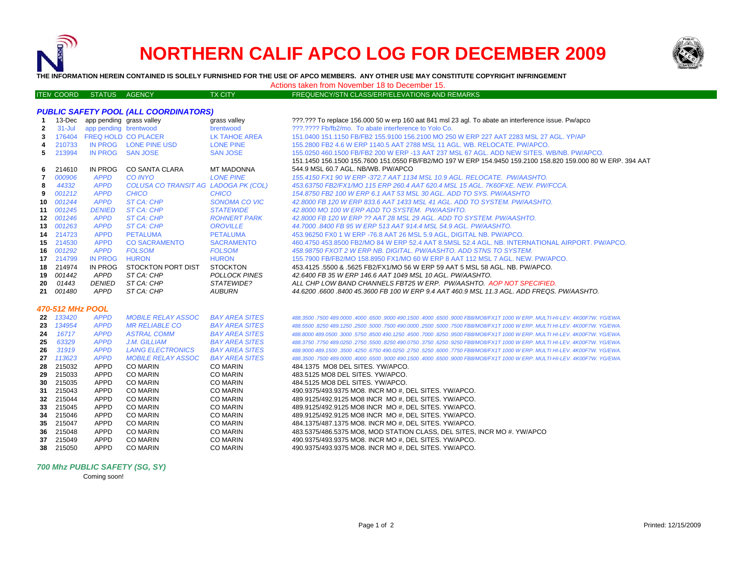

ITE M

# **NORTHERN CALIF APCO LOG FOR DECEMBER 2009**



**THE INFORMATION HEREIN CONTAINED IS SOLELY FURNISHED FOR THE USE OF APCO MEMBERS. ANY OTHER USE MAY CONSTITUTE COPYRIGHT INFRINGEMENT**

Actions taken from November 18 to December 15.

# M COORD STATUS AGENCY TX CITY FREQUENCY/STN CLASS/ERP/ELEVATIONS AND REMARKS

## *PUBLIC SAFETY POOL (ALL COORDINATORS)*

| -1               |            | 13-Dec app pending grass valley | $\frac{1}{2}$                        | grass valley          | ???.??? To replace 156,000 50 w erp 160 aat 841 msl 23 agl. To abate an interference issue. Pw/apco                          |  |  |  |
|------------------|------------|---------------------------------|--------------------------------------|-----------------------|------------------------------------------------------------------------------------------------------------------------------|--|--|--|
| $\overline{2}$   | $31 -$ Jul | app pending brentwood           |                                      | brentwood             | ???.???? Fb/fb2/mo. To abate interference to Yolo Co.                                                                        |  |  |  |
| 3                | 176404     |                                 | FREQ HOLD CO PLACER                  | <b>LK TAHOE AREA</b>  | 151.0400 151.1150 FB/FB2 155.9100 156.2100 MO 250 W ERP 227 AAT 2283 MSL 27 AGL, YP/AP                                       |  |  |  |
| 4                | 210733     |                                 | IN PROG LONE PINE USD                | <b>LONE PINE</b>      | 155,2800 FB2 4.6 W ERP 1140.5 AAT 2788 MSL 11 AGL, WB, RELOCATE, PW/APCO,                                                    |  |  |  |
| 5                | 213994     | IN PROG                         | <b>SAN JOSE</b>                      | <b>SAN JOSE</b>       | 155,0250 460,1500 FB/FB2 200 W ERP -13 AAT 237 MSL 67 AGL, ADD NEW SITES, WB/NB, PW/APCO,                                    |  |  |  |
|                  |            |                                 |                                      |                       | 151.1450 156.1500 155.7600 151.0550 FB/FB2/MO 197 W ERP 154.9450 159.2100 158.820 159.000 80 W ERP. 394 AAT                  |  |  |  |
| 6                | 214610     | <b>IN PROG</b>                  | <b>CO SANTA CLARA</b>                | MT MADONNA            | 544.9 MSL 60.7 AGL. NB/WB. PW/APCO                                                                                           |  |  |  |
| 7                | 000906     | <b>APPD</b>                     | <b>CO INYO</b>                       | <b>LONE PINE</b>      | 155.4150 FX1 90 W ERP -372.7 AAT 1134 MSL 10.9 AGL. RELOCATE. PW/AASHTO.                                                     |  |  |  |
| 8                | 44332      | <b>APPD</b>                     | COLUSA CO TRANSIT AG LADOGA PK (COL) |                       | 453.63750 FB2/FX1/MO 115 ERP 260.4 AAT 620.4 MSL 15 AGL, 7K60FXE, NEW, PW/FCCA,                                              |  |  |  |
| 9                | 001212     | <b>APPD</b>                     | <b>CHICO</b>                         | <b>CHICO</b>          | 154.8750 FB2 100 W ERP 6.1 AAT 53 MSL 30 AGL. ADD TO SYS. PW/AASHTO                                                          |  |  |  |
| 10               | 001244     | <b>APPD</b>                     | ST CA: CHP                           | <b>SONOMA CO VIC</b>  | 42.8000 FB 120 W ERP 833.6 AAT 1433 MSL 41 AGL, ADD TO SYSTEM, PW/AASHTO.                                                    |  |  |  |
| 11               | 001245     | <b>DENIED</b>                   | ST CA: CHP                           | <b>STATEWIDE</b>      | 42.8000 MO 100 W ERP ADD TO SYSTEM. PW/AASHTO.                                                                               |  |  |  |
| 12               | 001246     | <b>APPD</b>                     | ST CA: CHP                           | <b>ROHNERT PARK</b>   | 42.8000 FB 120 W ERP ?? AAT 28 MSL 29 AGL. ADD TO SYSTEM. PW/AASHTO.                                                         |  |  |  |
| 13               | 001263     | <b>APPD</b>                     | <b>ST CA: CHP</b>                    | <b>OROVILLE</b>       | 44.7000.8400 FB 95 W ERP 513 AAT 914.4 MSL 54.9 AGL. PW/AASHTO.                                                              |  |  |  |
| 14               | 214723     | <b>APPD</b>                     | <b>PETALUMA</b>                      | <b>PETALUMA</b>       | 453.96250 FX0 1 W ERP -76.8 AAT 26 MSL 5.9 AGL, DIGITAL NB. PW/APCO.                                                         |  |  |  |
|                  | 15 214530  | <b>APPD</b>                     | <b>CO SACRAMENTO</b>                 | <b>SACRAMENTO</b>     | 460.4750 453.8500 FB2/MO 84 W ERP 52.4 AAT 8.5MSL 52.4 AGL. NB. INTERNATIONAL AIRPORT, PW/APCO.                              |  |  |  |
| 16               | 001292     | <b>APPD</b>                     | <b>FOLSOM</b>                        | <b>FOLSOM</b>         | 458.98750 FXOT 2 W ERP NB. DIGITAL, PW/AASHTO, ADD STNS TO SYSTEM.                                                           |  |  |  |
|                  | 17 214799  | <b>IN PROG</b>                  | <b>HURON</b>                         | <b>HURON</b>          | 155.7900 FB/FB2/MO 158.8950 FX1/MO 60 W ERP 8 AAT 112 MSL 7 AGL. NEW. PW/APCO.                                               |  |  |  |
| 18               | 214974     | <b>IN PROG</b>                  | STOCKTON PORT DIST                   | <b>STOCKTON</b>       | 453.4125 .5500 & .5625 FB2/FX1/MO 56 W ERP 59 AAT 5 MSL 58 AGL. NB. PW/APCO.                                                 |  |  |  |
| 19               | 001442     | APPD                            | ST CA: CHP                           | <b>POLLOCK PINES</b>  | 42.6400 FB 35 W ERP 146.6 AAT 1049 MSL 10 AGL. PW/AASHTO.                                                                    |  |  |  |
| 20               | 01443      | <b>DENIED</b>                   | ST CA: CHP                           | STATEWIDE?            | ALL CHP LOW BAND CHANNELS FBT25 W ERP. PW/AASHTO. AOP NOT SPECIFIED.                                                         |  |  |  |
| 21               | 001480     | APPD                            | ST CA: CHP                           | <b>AUBURN</b>         | 44.6200 .6600 .8400 45.3600 FB 100 W ERP 9.4 AAT 460.9 MSL 11.3 AGL, ADD FREQS, PW/AASHTO,                                   |  |  |  |
|                  |            |                                 |                                      |                       |                                                                                                                              |  |  |  |
| 470-512 MHz POOL |            |                                 |                                      |                       |                                                                                                                              |  |  |  |
|                  | 22 133420  | <b>APPD</b>                     | <b>MOBILE RELAY ASSOC</b>            | <b>BAY AREA SITES</b> | .4000 489,0000 489,0000 4000 4000 9000 490,1500 4000 6500 9000 FB8/MO8/FX1T 1000 W ERP, MULTI-HI-LEV, 4K00F7W, YG/EWA        |  |  |  |
| 23               | 134954     | <b>APPD</b>                     | <b>MR RELIABLE CO</b>                | <b>BAY AREA SITES</b> | 488,5500 ,8250 489,1250 ,2500 ,5000 ,7500 490,0000 ,2500 ,5000 ,7500 FB8/MO8/FX1T 1000 W ERP, MULTI HI-LEV, 4K00F7W, YG/EWA, |  |  |  |
| 24               | 16717      | <b>APPD</b>                     | <b>ASTRAL COMM</b>                   | <b>BAY AREA SITES</b> | 488.8000 489.0500 .3000 .5750 .8500 490.1250 .4500 .7000 .8250 .9500 FB8/MO8/FX1T 1000 W ERP. MULTI HI-LEV. 4K00F7W. YG/EWA. |  |  |  |
| 25               | 63329      | <b>APPD</b>                     | J.M. GILLIAM                         | <b>BAY AREA SITES</b> | 488.3750 .7750 489.0250 .2750 .5500 .8250 490.0750 .3750 .6250 .9250 FB8/MO8/FX1T 1000 W ERP. MULTI HI-LEV. 4K00F7W. YG/EWA. |  |  |  |
| 26               | 31919      | <b>APPD</b>                     | <b>LAING ELECTRONICS</b>             | <b>BAY AREA SITES</b> | 488,9000 489,1500 .3500 .4250 .6750 490.0250 .2750 .5250 .6000 .7750 FB8/MO8/FX1T 1000 W ERP. MULTI HI-LEV. 4K00F7W. YG/EWA. |  |  |  |
| 27               | 113623     | <b>APPD</b>                     | <b>MOBILE RELAY ASSOC</b>            | <b>BAY AREA SITES</b> | 488.3500 .7500 489.0000 .4000 .6500 .9000 490.1500 .4000 .6500 .9000 FB8/MO8/FX1T 1000 W ERP. MULTI-HI-LEV. 4K00F7W. YG/EWA. |  |  |  |
| 28               | 215032     | <b>APPD</b>                     | <b>CO MARIN</b>                      | <b>CO MARIN</b>       | 484.1375 MO8 DEL SITES. YW/APCO.                                                                                             |  |  |  |
| 29               | 215033     | APPD                            | <b>CO MARIN</b>                      | <b>CO MARIN</b>       | 483.5125 MO8 DEL SITES. YW/APCO.                                                                                             |  |  |  |
| 30               | 215035     | <b>APPD</b>                     | <b>CO MARIN</b>                      | <b>CO MARIN</b>       | 484.5125 MO8 DEL SITES, YW/APCO.                                                                                             |  |  |  |
| 31               | 215043     | <b>APPD</b>                     | <b>CO MARIN</b>                      | <b>CO MARIN</b>       | 490.9375/493.9375 MO8. INCR MO #. DEL SITES. YW/APCO.                                                                        |  |  |  |
| 32               | 215044     | <b>APPD</b>                     | <b>CO MARIN</b>                      | <b>CO MARIN</b>       | 489.9125/492.9125 MO8 INCR MO #. DEL SITES, YW/APCO.                                                                         |  |  |  |
| 33               | 215045     | <b>APPD</b>                     | <b>CO MARIN</b>                      | <b>CO MARIN</b>       | 489.9125/492.9125 MO8 INCR MO #, DEL SITES. YW/APCO.                                                                         |  |  |  |
| 34               | 215046     | <b>APPD</b>                     | <b>CO MARIN</b>                      | <b>CO MARIN</b>       | 489.9125/492.9125 MO8 INCR MO #, DEL SITES. YW/APCO.                                                                         |  |  |  |
| 35               | 215047     | <b>APPD</b>                     | <b>CO MARIN</b>                      | <b>CO MARIN</b>       | 484.1375/487.1375 MO8. INCR MO #, DEL SITES. YW/APCO.                                                                        |  |  |  |
| 36               | 215048     | <b>APPD</b>                     | <b>CO MARIN</b>                      | <b>CO MARIN</b>       | 483.5375/486.5375 MO8, MOD STATION CLASS, DEL SITES, INCR MO #. YW/APCO                                                      |  |  |  |
| 37               | 215049     | <b>APPD</b>                     | <b>CO MARIN</b>                      | <b>CO MARIN</b>       | 490.9375/493.9375 MO8. INCR MO #, DEL SITES. YW/APCO.                                                                        |  |  |  |
| 38               | 215050     | <b>APPD</b>                     | <b>CO MARIN</b>                      | <b>CO MARIN</b>       | 490.9375/493.9375 MO8. INCR MO #, DEL SITES. YW/APCO.                                                                        |  |  |  |

#### *700 Mhz PUBLIC SAFETY (SG, SY)*

Coming soon!